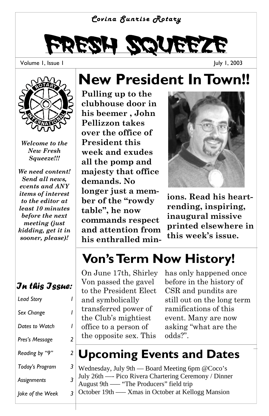#### *Covina Sunrise Rotary*



Volume 1, Issue 1

July 1, 2003



*Welcome to the New Fresh Squeeze!!!* 

*We need content! Send all news, events and ANY items of interest to the editor at least 10 minutes before the next meeting (just kidding, get it in sooner, please)!* 

#### *In this Issue:*

| <b>Lead Story</b> |   |
|-------------------|---|
| Sex Change        |   |
| Dates to Watch    | ı |
| Pres's Message    | 2 |
| Reading by "9"    | 2 |
| Today's Program   | 3 |
| Assignments       | 3 |
| Joke of the Week  | 3 |

## **New President In Town!!**

**Pulling up to the clubhouse door in his beemer , John Pellizzon takes over the office of President this week and exudes all the pomp and majesty that office demands. No longer just a member of the "rowdy table", he now commands respect and attention from his enthralled min-**



**ions. Read his heartrending, inspiring, inaugural missive printed elsewhere in this week's issue.** 

## **Von's Term Now History!**

On June 17th, Shirley Von passed the gavel to the President Elect and symbolically transferred power of the Club's mightiest office to a person of the opposite sex. This

has only happened once before in the history of CSR and pundits are still out on the long term ramifications of this event. Many are now asking "what are the odds?".

#### **Upcoming Events and Dates**

| Wednesday, July 9th — Board Meeting 6pm @Coco's      |
|------------------------------------------------------|
| July 26th — Pico Rivera Chartering Ceremony / Dinner |
| August 9th — "The Producers" field trip              |
| October 19th — Xmas in October at Kellogg Mansion    |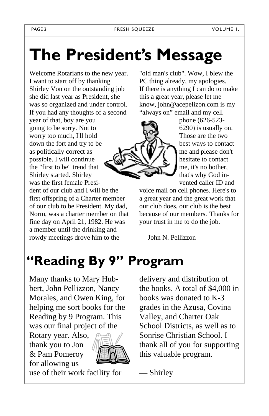# **The President's Message**

Welcome Rotarians to the new year. I want to start off by thanking Shirley Von on the outstanding job she did last year as President, she was so organized and under control. If you had any thoughts of a second year of that, boy are you

going to be sorry. Not to worry too much, I'll hold down the fort and try to be as politically correct as possible. I will continue the "first to be" trend that Shirley started. Shirley was the first female President of our club and I will be the first offspring of a Charter member of our club to be President. My dad, Norm, was a charter member on that fine day on April 21, 1982. He was a member until the drinking and rowdy meetings drove him to the

"old man's club". Wow, I blew the PC thing already, my apologies. If there is anything I can do to make this a great year, please let me know, john@acepelizon.com is my "always on" email and my cell



phone (626-523- 6290) is usually on. Those are the two best ways to contact me and please don't hesitate to contact me, it's no bother, that's why God invented caller ID and

voice mail on cell phones. Here's to a great year and the great work that our club does, our club is the best because of our members. Thanks for your trust in me to do the job.

— John N. Pellizzon

## **"Reading By 9" Program**

Many thanks to Mary Hubbert, John Pellizzon, Nancy Morales, and Owen King, for helping me sort books for the Reading by 9 Program. This was our final project of the

Rotary year. Also, thank you to Jon & Pam Pomeroy for allowing us



use of their work facility for

delivery and distribution of the books. A total of \$4,000 in books was donated to K-3 grades in the Azusa, Covina Valley, and Charter Oak School Districts, as well as to Sonrise Christian School. I thank all of you for supporting this valuable program.

— Shirley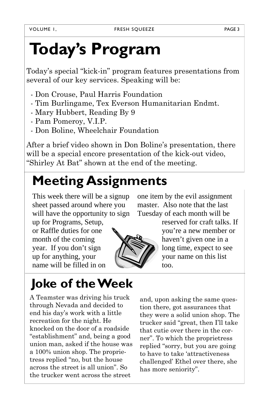# **Today's Program**

Today's special "kick-in" program features presentations from several of our key services. Speaking will be:

- Don Crouse, Paul Harris Foundation
- Tim Burlingame, Tex Everson Humanitarian Endmt.
- Mary Hubbert, Reading By 9
- Pam Pomeroy, V.I.P.
- Don Boline, Wheelchair Foundation

After a brief video shown in Don Boline's presentation, there will be a special encore presentation of the kick-out video, "Shirley At Bat" shown at the end of the meeting.

## **Meeting Assignments**

This week there will be a signup sheet passed around where you will have the opportunity to sign

up for Programs, Setup, or Raffle duties for one month of the coming year. If you don't sign up for anything, your name will be filled in on

#### **Joke of the Week**

A Teamster was driving his truck through Nevada and decided to end his day's work with a little recreation for the night. He knocked on the door of a roadside "establishment" and, being a good union man, asked if the house was a 100% union shop. The proprietress replied "no, but the house across the street is all union". So the trucker went across the street

one item by the evil assignment master. Also note that the last Tuesday of each month will be

reserved for craft talks. If you're a new member or haven't given one in a long time, expect to see your name on this list too.

and, upon asking the same question there, got assurances that they were a solid union shop. The trucker said "great, then I'll take that cutie over there in the corner". To which the proprietress replied "sorry, but you are going to have to take 'attractiveness challenged' Ethel over there, she has more seniority".